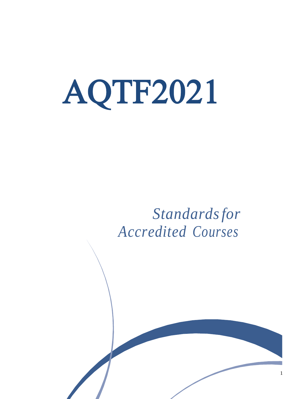# AQTF2021

## *Standardsfor Accredited Courses*

1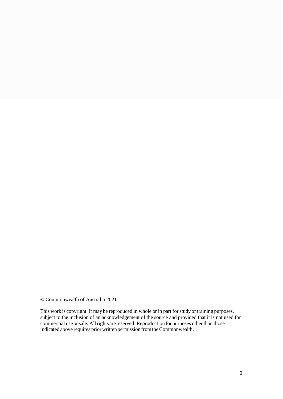© Commonwealth of Australia 2021

This work is copyright. It may be reproduced in whole or in part forstudy or training purposes, subject to the inclusion of an acknowledgement of the source and provided that it is not used for commercial use or sale. All rights are reserved. Reproduction for purposes other than those indicated above requires prior written permission from the Commonwealth.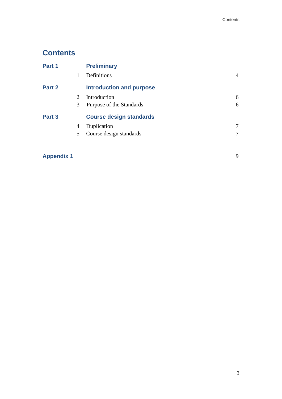## **Contents**

| Part 1 |                             | <b>Preliminary</b>              |   |
|--------|-----------------------------|---------------------------------|---|
|        |                             | Definitions                     | 4 |
| Part 2 |                             | <b>Introduction and purpose</b> |   |
|        | $\mathcal{D}_{\mathcal{L}}$ | Introduction                    | 6 |
|        | 3                           | Purpose of the Standards        | 6 |
| Part 3 |                             | <b>Course design standards</b>  |   |
|        | 4                           | Duplication                     | 7 |
|        | 5                           | Course design standards         | 7 |
|        |                             |                                 |   |

## **Appendix 1** 9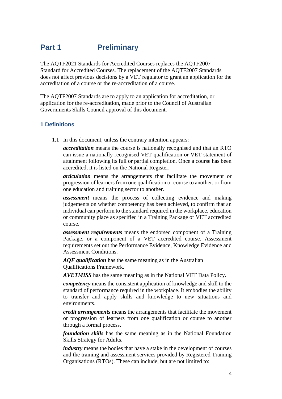## **Part 1 Preliminary**

The AQTF2021 Standards for Accredited Courses replaces the AQTF2007 Standard for Accredited Courses. The replacement of the AQTF2007 Standards does not affect previous decisions by a VET regulator to grant an application for the accreditation of a course or the re-accreditation of a course.

The AQTF2007 Standards are to apply to an application for accreditation, or application for the re-accreditation, made prior to the Council of Australian Governments Skills Council approval of this document.

#### **1 Definitions**

1.1 In this document, unless the contrary intention appears:

*accreditation* means the course is nationally recognised and that an RTO can issue a nationally recognised VET qualification or VET statement of attainment following its full or partial completion. Once a course has been accredited, it is listed on the National Register.

*articulation* means the arrangements that facilitate the movement or progression of learners from one qualification or course to another, or from one education and training sector to another.

*assessment* means the process of collecting evidence and making judgements on whether competency has been achieved, to confirm that an individual can perform to the standard required in the workplace, education or community place as specified in a Training Package or VET accredited course.

*assessment requirements* means the endorsed component of a Training Package, or a component of a VET accredited course. Assessment requirements set out the Performance Evidence, Knowledge Evidence and Assessment Conditions.

*AQF qualification* has the same meaning as in the Australian Qualifications Framework.

*AVETMISS* has the same meaning as in the National VET Data Policy.

*competency* means the consistent application of knowledge and skill to the standard of performance required in the workplace. It embodies the ability to transfer and apply skills and knowledge to new situations and environments.

*credit arrangements* means the arrangements that facilitate the movement or progression of learners from one qualification or course to another through a formal process.

*foundation skills* has the same meaning as in the National Foundation Skills Strategy for Adults.

*industry* means the bodies that have a stake in the development of courses and the training and assessment services provided by Registered Training Organisations (RTOs). These can include, but are not limited to: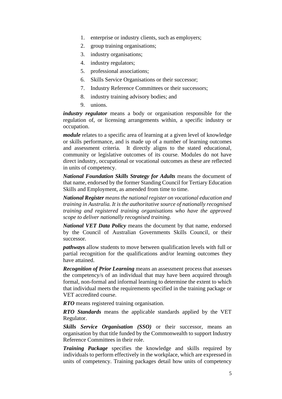- 1. enterprise or industry clients, such as employers;
- 2. group training organisations;
- 3. industry organisations;
- 4. industry regulators;
- 5. professional associations;
- 6. Skills Service Organisations or their successor;
- 7. Industry Reference Committees or their successors;
- 8. industry training advisory bodies; and
- 9. unions.

*industry regulator* means a body or organisation responsible for the regulation of, or licensing arrangements within, a specific industry or occupation.

*module* relates to a specific area of learning at a given level of knowledge or skills performance, and is made up of a number of learning outcomes and assessment criteria. It directly aligns to the stated educational, community or legislative outcomes of its course. Modules do not have direct industry, occupational or vocational outcomes as these are reflected in units of competency.

*National Foundation Skills Strategy for Adults* means the document of that name, endorsed by the former Standing Council for Tertiary Education Skills and Employment, as amended from time to time.

*National Register means the national register on vocational education and training in Australia. It is the authoritative source of nationally recognised training and registered training organisations who have the approved scope to deliver nationally recognised training.*

*National VET Data Policy* means the document by that name, endorsed by the Council of Australian Governments Skills Council, or their successor.

*pathways* allow students to move between qualification levels with full or partial recognition for the qualifications and/or learning outcomes they have attained.

*Recognition of Prior Learning* means an assessment process that assesses the competency/s of an individual that may have been acquired through formal, non-formal and informal learning to determine the extent to which that individual meets the requirements specified in the training package or VET accredited course.

*RTO* means registered training organisation.

*RTO Standards* means the applicable standards applied by the VET Regulator.

*Skills Service Organisation (SSO)* or their successor, means an organisation by that title funded by the Commonwealth to support Industry Reference Committees in their role.

*Training Package* specifies the knowledge and skills required by individuals to perform effectively in the workplace, which are expressed in units of competency. Training packages detail how units of competency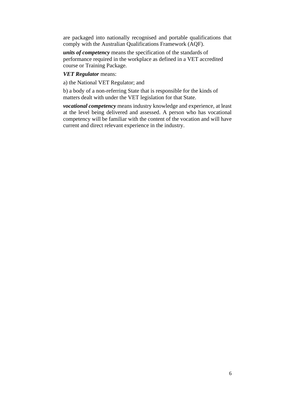are packaged into nationally recognised and portable qualifications that comply with the Australian Qualifications Framework (AQF).

*units of competency* means the specification of the standards of performance required in the workplace as defined in a VET accredited course or Training Package.

*VET Regulator* means:

a) the National VET Regulator; and

b) a body of a non-referring State that is responsible for the kinds of matters dealt with under the VET legislation for that State.

*vocational competency* means industry knowledge and experience, at least at the level being delivered and assessed. A person who has vocational competency will be familiar with the content of the vocation and will have current and direct relevant experience in the industry.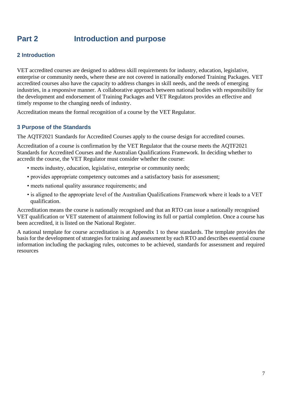## **Part 2 Introduction and purpose**

#### **2 Introduction**

VET accredited courses are designed to address skill requirements for industry, education, legislative, enterprise or community needs, where these are not covered in nationally endorsed Training Packages. VET accredited courses also have the capacity to address changes in skill needs, and the needs of emerging industries, in a responsive manner. A collaborative approach between national bodies with responsibility for the development and endorsement of Training Packages and VET Regulators provides an effective and timely response to the changing needs of industry.

Accreditation means the formal recognition of a course by the VET Regulator.

#### **3 Purpose of the Standards**

The AQTF2021 Standards for Accredited Courses apply to the course design for accredited courses.

Accreditation of a course is confirmation by the VET Regulator that the course meets the AQTF2021 Standards for Accredited Courses and the Australian Qualifications Framework. In deciding whether to accredit the course, the VET Regulator must consider whether the course:

- meets industry, education, legislative, enterprise or community needs;
- provides appropriate competency outcomes and a satisfactory basis for assessment;
- meets national quality assurance requirements; and
- is aligned to the appropriate level of the Australian Qualifications Framework where it leads to a VET qualification.

Accreditation means the course is nationally recognised and that an RTO can issue a nationally recognised VET qualification or VET statement of attainment following its full or partial completion. Once a course has been accredited, it is listed on the National Register.

A national template for course accreditation is at Appendix 1 to these standards. The template provides the basis for the development of strategies for training and assessment by each RTO and describes essential course information including the packaging rules, outcomes to be achieved, standards for assessment and required resources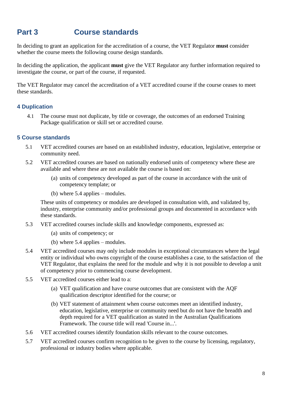## **Part 3 Course standards**

In deciding to grant an application for the accreditation of a course, the VET Regulator **must** consider whether the course meets the following course design standards.

In deciding the application, the applicant **must** give the VET Regulator any further information required to investigate the course, or part of the course, if requested.

The VET Regulator may cancel the accreditation of a VET accredited course if the course ceases to meet these standards.

#### **4 Duplication**

4.1 The course must not duplicate, by title or coverage, the outcomes of an endorsed Training Package qualification or skill set or accredited course.

#### **5 Course standards**

- 5.1 VET accredited courses are based on an established industry, education, legislative, enterprise or community need.
- 5.2 VET accredited courses are based on nationally endorsed units of competency where these are available and where these are not available the course is based on:
	- (a) units of competency developed as part of the course in accordance with the unit of competency template; or
	- (b) where 5.4 applies modules.

These units of competency or modules are developed in consultation with, and validated by, industry, enterprise community and/or professional groups and documented in accordance with these standards.

- 5.3 VET accredited courses include skills and knowledge components, expressed as:
	- (a) units of competency; or
	- (b) where 5.4 applies modules.
- 5.4 VET accredited courses may only include modules in exceptional circumstances where the legal entity or individual who owns copyright of the course establishes a case, to the satisfaction of the VET Regulator, that explains the need for the module and why it is not possible to develop a unit of competency prior to commencing course development.
- 5.5 VET accredited courses either lead to a:
	- (a) VET qualification and have course outcomes that are consistent with the AQF qualification descriptor identified for the course; or
	- (b) VET statement of attainment when course outcomes meet an identified industry, education, legislative, enterprise or community need but do not have the breadth and depth required for a VET qualification as stated in the Australian Qualifications Framework. The course title will read 'Course in...'.
- 5.6 VET accredited courses identify foundation skills relevant to the course outcomes.
- 5.7 VET accredited courses confirm recognition to be given to the course by licensing, regulatory, professional or industry bodies where applicable.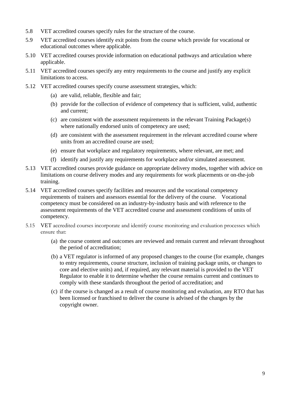- 5.8 VET accredited courses specify rules for the structure of the course.
- 5.9 VET accredited courses identify exit points from the course which provide for vocational or educational outcomes where applicable.
- 5.10 VET accredited courses provide information on educational pathways and articulation where applicable.
- 5.11 VET accredited courses specify any entry requirements to the course and justify any explicit limitations to access.
- 5.12 VET accredited courses specify course assessment strategies, which:
	- (a) are valid, reliable, flexible and fair;
	- (b) provide for the collection of evidence of competency that is sufficient, valid, authentic and current;
	- (c) are consistent with the assessment requirements in the relevant Training Package(s) where nationally endorsed units of competency are used;
	- (d) are consistent with the assessment requirement in the relevant accredited course where units from an accredited course are used;
	- (e) ensure that workplace and regulatory requirements, where relevant, are met; and
	- (f) identify and justify any requirements for workplace and/or simulated assessment.
- 5.13 VET accredited courses provide guidance on appropriate delivery modes, together with advice on limitations on course delivery modes and any requirements for work placements or on-the-job training.
- 5.14 VET accredited courses specify facilities and resources and the vocational competency requirements of trainers and assessors essential for the delivery of the course. Vocational competency must be considered on an industry-by-industry basis and with reference to the assessment requirements of the VET accredited course and assessment conditions of units of competency.
- 5.15 VET accredited courses incorporate and identify course monitoring and evaluation processes which ensure that:
	- (a) the course content and outcomes are reviewed and remain current and relevant throughout the period of accreditation;
	- (b) a VET regulator is informed of any proposed changes to the course (for example, changes to entry requirements, course structure, inclusion of training package units, or changes to core and elective units) and, if required, any relevant material is provided to the VET Regulator to enable it to determine whether the course remains current and continues to comply with these standards throughout the period of accreditation; and
	- (c) if the course is changed as a result of course monitoring and evaluation, any RTO that has been licensed or franchised to deliver the course is advised of the changes by the copyright owner.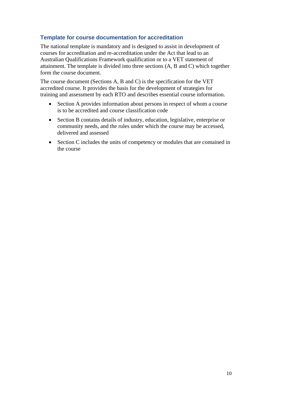#### **Template for course documentation for accreditation**

The national template is mandatory and is designed to assist in development of courses for accreditation and re-accreditation under the Act that lead to an Australian Qualifications Framework qualification or to a VET statement of attainment. The template is divided into three sections (A, B and C) which together form the course document.

The course document (Sections A, B and C) is the specification for the VET accredited course. It provides the basis for the development of strategies for training and assessment by each RTO and describes essential course information.

- Section A provides information about persons in respect of whom a course is to be accredited and course classification code
- Section B contains details of industry, education, legislative, enterprise or community needs, and the rules under which the course may be accessed, delivered and assessed
- Section C includes the units of competency or modules that are contained in the course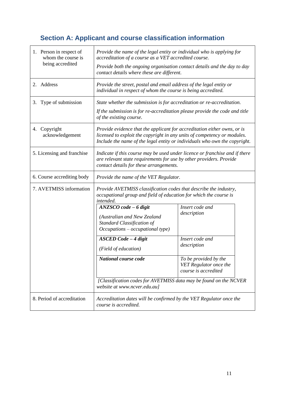## **Section A: Applicant and course classification information**

| 1. Person in respect of<br>whom the course is<br>being accredited | Provide the name of the legal entity or individual who is applying for<br>accreditation of a course as a VET accredited course.<br>Provide both the ongoing organisation contact details and the day to day<br>contact details where these are different. |                                                                         |  |
|-------------------------------------------------------------------|-----------------------------------------------------------------------------------------------------------------------------------------------------------------------------------------------------------------------------------------------------------|-------------------------------------------------------------------------|--|
| 2. Address                                                        | Provide the street, postal and email address of the legal entity or<br>individual in respect of whom the course is being accredited.                                                                                                                      |                                                                         |  |
| Type of submission<br>3.                                          | State whether the submission is for accreditation or re-accreditation.<br>If the submission is for re-accreditation please provide the code and title<br>of the existing course.                                                                          |                                                                         |  |
| 4. Copyright<br>acknowledgement                                   | Provide evidence that the applicant for accreditation either owns, or is<br>licensed to exploit the copyright in any units of competency or modules.<br>Include the name of the legal entity or individuals who own the copyright.                        |                                                                         |  |
| 5. Licensing and franchise                                        | Indicate if this course may be used under licence or franchise and if there<br>are relevant state requirements for use by other providers. Provide<br>contact details for these arrangements.                                                             |                                                                         |  |
| 6. Course accrediting body                                        | Provide the name of the VET Regulator.                                                                                                                                                                                                                    |                                                                         |  |
| 7. AVETMISS information                                           | Provide AVETMISS classification codes that describe the industry,<br>occupational group and field of education for which the course is<br>intended.                                                                                                       |                                                                         |  |
|                                                                   | $ANZSCO code - 6 digit$<br>(Australian and New Zealand<br>Standard Classification of<br>$Occupations-occupational type)$                                                                                                                                  | Insert code and<br>description                                          |  |
|                                                                   | <b>ASCED</b> Code - 4 digit<br>(Field of education)                                                                                                                                                                                                       | Insert code and<br>description                                          |  |
|                                                                   | National course code                                                                                                                                                                                                                                      | To be provided by the<br>VET Regulator once the<br>course is accredited |  |
|                                                                   | [Classification codes for AVETMISS data may be found on the NCVER<br>website at www.ncver.edu.au]                                                                                                                                                         |                                                                         |  |
| 8. Period of accreditation                                        | Accreditation dates will be confirmed by the VET Regulator once the<br>course is accredited.                                                                                                                                                              |                                                                         |  |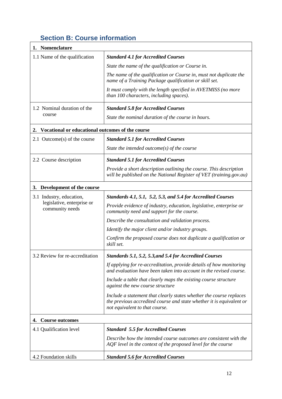## **Section B: Course information**

| 1. Nomenclature                                        |                                                                                                                                                                               |
|--------------------------------------------------------|-------------------------------------------------------------------------------------------------------------------------------------------------------------------------------|
| 1.1 Name of the qualification                          | <b>Standard 4.1 for Accredited Courses</b>                                                                                                                                    |
|                                                        | State the name of the qualification or Course in.                                                                                                                             |
|                                                        | The name of the qualification or Course in, must not duplicate the<br>name of a Training Package qualification or skill set.                                                  |
|                                                        | It must comply with the length specified in AVETMISS (no more<br>than 100 characters, including spaces).                                                                      |
| 1.2 Nominal duration of the                            | <b>Standard 5.8 for Accredited Courses</b>                                                                                                                                    |
| course                                                 | State the nominal duration of the course in hours.                                                                                                                            |
| Vocational or educational outcomes of the course<br>2. |                                                                                                                                                                               |
| 2.1 Outcome(s) of the course                           | <b>Standard 5.1 for Accredited Courses</b>                                                                                                                                    |
|                                                        | State the intended outcome(s) of the course                                                                                                                                   |
| 2.2 Course description                                 | <b>Standard 5.1 for Accredited Courses</b>                                                                                                                                    |
|                                                        | Provide a short description outlining the course. This description<br>will be published on the National Register of VET (training.gov.au)                                     |
| Development of the course<br>3.                        |                                                                                                                                                                               |
| 3.1 Industry, education,                               | Standards 4.1, 5.1, 5.2, 5.3, and 5.4 for Accredited Courses                                                                                                                  |
| legislative, enterprise or<br>community needs          | Provide evidence of industry, education, legislative, enterprise or<br>community need and support for the course.                                                             |
|                                                        | Describe the consultation and validation process.                                                                                                                             |
|                                                        | Identify the major client and/or industry groups.                                                                                                                             |
|                                                        | Confirm the proposed course does not duplicate a qualification or<br>skill set.                                                                                               |
| 3.2 Review for re-accreditation                        | Standards 5.1, 5.2, 5.3, and 5.4 for Accredited Courses                                                                                                                       |
|                                                        | If applying for re-accreditation, provide details of how monitoring<br>and evaluation have been taken into account in the revised course.                                     |
|                                                        | Include a table that clearly maps the existing course structure<br>against the new course structure                                                                           |
|                                                        | Include a statement that clearly states whether the course replaces<br>the previous accredited course and state whether it is equivalent or<br>not equivalent to that course. |
| <b>Course outcomes</b><br>4.                           |                                                                                                                                                                               |
| 4.1 Qualification level                                | <b>Standard 5.5 for Accredited Courses</b>                                                                                                                                    |
|                                                        | Describe how the intended course outcomes are consistent with the<br>AQF level in the context of the proposed level for the course                                            |
| 4.2 Foundation skills                                  | <b>Standard 5.6 for Accredited Courses</b>                                                                                                                                    |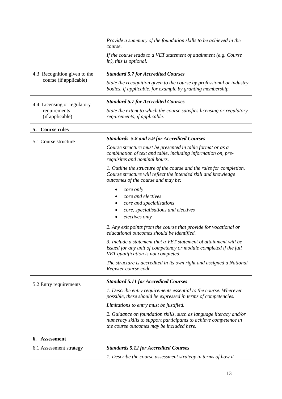|                                 | Provide a summary of the foundation skills to be achieved in the<br>course.                                                                                                         |
|---------------------------------|-------------------------------------------------------------------------------------------------------------------------------------------------------------------------------------|
|                                 | If the course leads to a VET statement of attainment (e.g. Course<br>in), this is optional.                                                                                         |
| 4.3 Recognition given to the    | <b>Standard 5.7 for Accredited Courses</b>                                                                                                                                          |
| course (if applicable)          | State the recognition given to the course by professional or industry<br>bodies, if applicable, for example by granting membership.                                                 |
| 4.4 Licensing or regulatory     | <b>Standard 5.7 for Accredited Courses</b>                                                                                                                                          |
| requirements<br>(if applicable) | State the extent to which the course satisfies licensing or regulatory<br>requirements, if applicable.                                                                              |
| 5. Course rules                 |                                                                                                                                                                                     |
| 5.1 Course structure            | <b>Standards 5.8 and 5.9 for Accredited Courses</b>                                                                                                                                 |
|                                 | Course structure must be presented in table format or as a<br>combination of text and table, including information on, pre-<br>requisites and nominal hours.                        |
|                                 | 1. Outline the structure of the course and the rules for completion.<br>Course structure will reflect the intended skill and knowledge<br>outcomes of the course and may be:        |
|                                 | core only<br>core and electives<br>core and specialisations<br>core, specialisations and electives<br>electives only                                                                |
|                                 | 2. Any exit points from the course that provide for vocational or<br>educational outcomes should be identified.                                                                     |
|                                 | 3. Include a statement that a VET statement of attainment will be<br>issued for any unit of competency or module completed if the full<br>VET qualification is not completed.       |
|                                 | The structure is accredited in its own right and assigned a National<br>Register course code.                                                                                       |
| 5.2 Entry requirements          | <b>Standard 5.11 for Accredited Courses</b>                                                                                                                                         |
|                                 | 1. Describe entry requirements essential to the course. Wherever<br>possible, these should be expressed in terms of competencies.                                                   |
|                                 | Limitations to entry must be justified.                                                                                                                                             |
|                                 | 2. Guidance on foundation skills, such as language literacy and/or<br>numeracy skills to support participants to achieve competence in<br>the course outcomes may be included here. |
| <b>Assessment</b><br>6.         |                                                                                                                                                                                     |
| 6.1 Assessment strategy         | <b>Standards 5.12 for Accredited Courses</b>                                                                                                                                        |
|                                 | 1. Describe the course assessment strategy in terms of how it                                                                                                                       |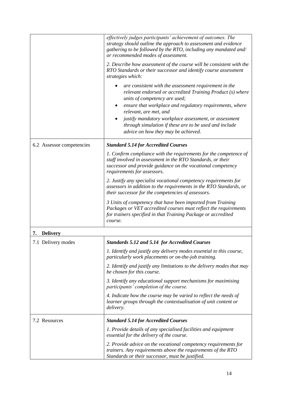|                           | effectively judges participants' achievement of outcomes. The<br>strategy should outline the approach to assessment and evidence<br>gathering to be followed by the RTO, including any mandated and/<br>or recommended modes of assessment. |
|---------------------------|---------------------------------------------------------------------------------------------------------------------------------------------------------------------------------------------------------------------------------------------|
|                           | 2. Describe how assessment of the course will be consistent with the<br>RTO Standards or their successor and identify course assessment<br>strategies which:                                                                                |
|                           | are consistent with the assessment requirement in the<br>٠<br>relevant endorsed or accredited Training Product (s) where<br>units of competency are used;                                                                                   |
|                           | ensure that workplace and regulatory requirements, where<br>relevant, are met, and                                                                                                                                                          |
|                           | justify mandatory workplace assessment, or assessment<br>through simulation if these are to be used and include<br>advice on how they may be achieved.                                                                                      |
| 6.2 Assessor competencies | <b>Standard 5.14 for Accredited Courses</b>                                                                                                                                                                                                 |
|                           | 1. Confirm compliance with the requirements for the competence of<br>staff involved in assessment in the RTO Standards, or their<br>successor and provide guidance on the vocational competency<br>requirements for assessors.              |
|                           | 2. Justify any specialist vocational competency requirements for<br>assessors in addition to the requirements in the RTO Standards, or<br>their successor for the competencies of assessors.                                                |
|                           | 3 Units of competency that have been imported from Training<br>Packages or VET accredited courses must reflect the requirements<br>for trainers specified in that Training Package or accredited<br>course.                                 |
| <b>Delivery</b><br>7.     |                                                                                                                                                                                                                                             |
| 7.1 Delivery modes        | Standards 5.12 and 5.14 for Accredited Courses                                                                                                                                                                                              |
|                           | 1. Identify and justify any delivery modes essential to this course,<br>particularly work placements or on-the-job training.                                                                                                                |
|                           | 2. Identify and justify any limitations to the delivery modes that may<br>be chosen for this course.                                                                                                                                        |
|                           | 3. Identify any educational support mechanisms for maximising<br>participants' completion of the course.                                                                                                                                    |
|                           | 4. Indicate how the course may be varied to reflect the needs of<br>learner groups through the contextualisation of unit content or<br>delivery.                                                                                            |
| 7.2 Resources             | <b>Standard 5.14 for Accredited Courses</b>                                                                                                                                                                                                 |
|                           | 1. Provide details of any specialised facilities and equipment<br>essential for the delivery of the course.                                                                                                                                 |
|                           | 2. Provide advice on the vocational competency requirements for<br>trainers. Any requirements above the requirements of the RTO<br>Standards or their successor, must be justified.                                                         |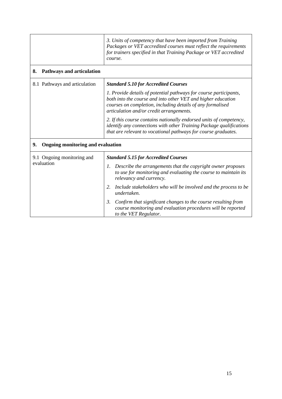|                                                | 3. Units of competency that have been imported from Training<br>Packages or VET accredited courses must reflect the requirements<br>for trainers specified in that Training Package or VET accredited<br>course.                                                                                                                                                                                                                                            |  |
|------------------------------------------------|-------------------------------------------------------------------------------------------------------------------------------------------------------------------------------------------------------------------------------------------------------------------------------------------------------------------------------------------------------------------------------------------------------------------------------------------------------------|--|
| <b>Pathways and articulation</b><br>8.         |                                                                                                                                                                                                                                                                                                                                                                                                                                                             |  |
| 8.1 Pathways and articulation                  | <b>Standard 5.10 for Accredited Courses</b>                                                                                                                                                                                                                                                                                                                                                                                                                 |  |
|                                                | 1. Provide details of potential pathways for course participants,<br>both into the course and into other VET and higher education<br>courses on completion, including details of any formalised<br>articulation and/or credit arrangements.<br>2. If this course contains nationally endorsed units of competency,<br>identify any connections with other Training Package qualifications<br>that are relevant to vocational pathways for course graduates. |  |
| 9.<br><b>Ongoing monitoring and evaluation</b> |                                                                                                                                                                                                                                                                                                                                                                                                                                                             |  |
| 9.1 Ongoing monitoring and                     | <b>Standard 5.15 for Accredited Courses</b>                                                                                                                                                                                                                                                                                                                                                                                                                 |  |
| evaluation                                     | Describe the arrangements that the copyright owner proposes<br>1.<br>to use for monitoring and evaluating the course to maintain its<br>relevancy and currency.                                                                                                                                                                                                                                                                                             |  |
|                                                | Include stakeholders who will be involved and the process to be<br>2.<br>undertaken.                                                                                                                                                                                                                                                                                                                                                                        |  |
|                                                | 3.<br>Confirm that significant changes to the course resulting from<br>course monitoring and evaluation procedures will be reported<br>to the VET Regulator.                                                                                                                                                                                                                                                                                                |  |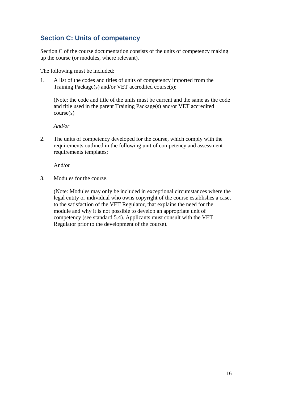#### **Section C: Units of competency**

Section C of the course documentation consists of the units of competency making up the course (or modules, where relevant).

The following must be included:

1. A list of the codes and titles of units of competency imported from the Training Package(s) and/or VET accredited course(s);

(Note: the code and title of the units must be current and the same as the code and title used in the parent Training Package(s) and/or VET accredited course(s)

*And/or*

2. The units of competency developed for the course, which comply with the requirements outlined in the following unit of competency and assessment requirements templates;

And/*or*

3. Modules for the course.

(Note: Modules may only be included in exceptional circumstances where the legal entity or individual who owns copyright of the course establishes a case, to the satisfaction of the VET Regulator, that explains the need for the module and why it is not possible to develop an appropriate unit of competency (see standard 5.4). Applicants must consult with the VET Regulator prior to the development of the course).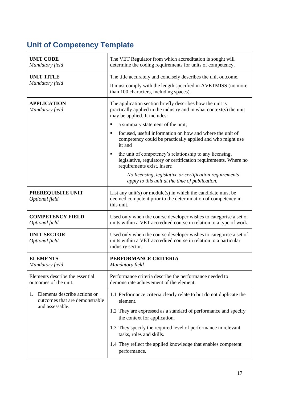## **Unit of Competency Template**

| <b>UNIT CODE</b><br>Mandatory field                                  | The VET Regulator from which accreditation is sought will<br>determine the coding requirements for units of competency.                                          |
|----------------------------------------------------------------------|------------------------------------------------------------------------------------------------------------------------------------------------------------------|
| <b>UNIT TITLE</b>                                                    | The title accurately and concisely describes the unit outcome.                                                                                                   |
| Mandatory field                                                      | It must comply with the length specified in AVETMISS (no more<br>than 100 characters, including spaces).                                                         |
| <b>APPLICATION</b><br>Mandatory field                                | The application section briefly describes how the unit is<br>practically applied in the industry and in what context(s) the unit<br>may be applied. It includes: |
|                                                                      | a summary statement of the unit;<br>п                                                                                                                            |
|                                                                      | focused, useful information on how and where the unit of<br>٠<br>competency could be practically applied and who might use<br>it; and                            |
|                                                                      | the unit of competency's relationship to any licensing,<br>٠<br>legislative, regulatory or certification requirements. Where no<br>requirements exist, insert:   |
|                                                                      | No licensing, legislative or certification requirements<br>apply to this unit at the time of publication.                                                        |
| PREREQUISITE UNIT<br>Optional field                                  | List any unit(s) or module(s) in which the candidate must be<br>deemed competent prior to the determination of competency in<br>this unit.                       |
| <b>COMPETENCY FIELD</b><br>Optional field                            | Used only when the course developer wishes to categorise a set of<br>units within a VET accredited course in relation to a type of work.                         |
| <b>UNIT SECTOR</b><br>Optional field                                 | Used only when the course developer wishes to categorise a set of<br>units within a VET accredited course in relation to a particular<br>industry sector.        |
| <b>ELEMENTS</b><br>Mandatory field                                   | PERFORMANCE CRITERIA<br>Mandatory field                                                                                                                          |
| Elements describe the essential<br>outcomes of the unit.             | Performance criteria describe the performance needed to<br>demonstrate achievement of the element.                                                               |
| Elements describe actions or<br>1.<br>outcomes that are demonstrable | 1.1 Performance criteria clearly relate to but do not duplicate the<br>element.                                                                                  |
| and assessable.                                                      | 1.2 They are expressed as a standard of performance and specify<br>the context for application.                                                                  |
|                                                                      | 1.3 They specify the required level of performance in relevant<br>tasks, roles and skills.                                                                       |
|                                                                      | 1.4 They reflect the applied knowledge that enables competent<br>performance.                                                                                    |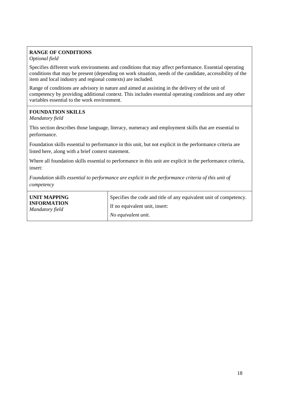#### **RANGE OF CONDITIONS**

#### *Optional field*

Specifies different work environments and conditions that may affect performance. Essential operating conditions that may be present (depending on work situation, needs of the candidate, accessibility of the item and local industry and regional contexts) are included.

Range of conditions are advisory in nature and aimed at assisting in the delivery of the unit of competency by providing additional context. This includes essential operating conditions and any other variables essential to the work environment.

#### **FOUNDATION SKILLS**

*Mandatory field*

This section describes those language, literacy, numeracy and employment skills that are essential to performance.

Foundation skills essential to performance in this unit, but not explicit in the performance criteria are listed here, along with a brief context statement.

Where all foundation skills essential to performance in this unit are explicit in the performance criteria, insert:

*Foundation skills essential to performance are explicit in the performance criteria of this unit of competency*

| UNIT MAPPING                          | Specifies the code and title of any equivalent unit of competency. |
|---------------------------------------|--------------------------------------------------------------------|
| <b>INFORMATION</b><br>Mandatory field | If no equivalent unit, insert:                                     |
|                                       | No equivalent unit.                                                |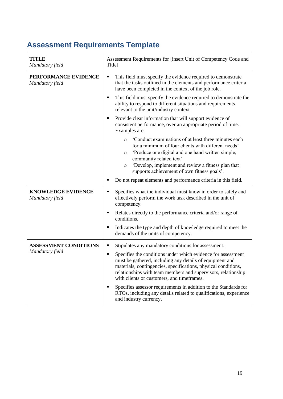## **Assessment Requirements Template**

| <b>TITLE</b><br>Mandatory field              | Assessment Requirements for [insert Unit of Competency Code and<br>Title]                                                                                                                                                                                                                                                   |
|----------------------------------------------|-----------------------------------------------------------------------------------------------------------------------------------------------------------------------------------------------------------------------------------------------------------------------------------------------------------------------------|
| PERFORMANCE EVIDENCE<br>Mandatory field      | This field must specify the evidence required to demonstrate<br>٠<br>that the tasks outlined in the elements and performance criteria<br>have been completed in the context of the job role.                                                                                                                                |
|                                              | This field must specify the evidence required to demonstrate the<br>٠<br>ability to respond to different situations and requirements<br>relevant to the unit/industry context                                                                                                                                               |
|                                              | Provide clear information that will support evidence of<br>consistent performance, over an appropriate period of time.<br>Examples are:                                                                                                                                                                                     |
|                                              | 'Conduct examinations of at least three minutes each<br>$\circ$<br>for a minimum of four clients with different needs'<br>'Produce one digital and one hand written simple,<br>O<br>community related text'                                                                                                                 |
|                                              | 'Develop, implement and review a fitness plan that<br>$\circ$<br>supports achievement of own fitness goals'.                                                                                                                                                                                                                |
|                                              | Do not repeat elements and performance criteria in this field.<br>٠                                                                                                                                                                                                                                                         |
| <b>KNOWLEDGE EVIDENCE</b><br>Mandatory field | Specifies what the individual must know in order to safely and<br>٠<br>effectively perform the work task described in the unit of<br>competency.                                                                                                                                                                            |
|                                              | Relates directly to the performance criteria and/or range of<br>٠<br>conditions.                                                                                                                                                                                                                                            |
|                                              | Indicates the type and depth of knowledge required to meet the<br>٠<br>demands of the units of competency.                                                                                                                                                                                                                  |
| <b>ASSESSMENT CONDITIONS</b>                 | Stipulates any mandatory conditions for assessment.<br>٠                                                                                                                                                                                                                                                                    |
| Mandatory field                              | Specifies the conditions under which evidence for assessment<br>$\blacksquare$<br>must be gathered, including any details of equipment and<br>materials, contingencies, specifications, physical conditions,<br>relationships with team members and supervisors, relationship<br>with clients or customers, and timeframes. |
|                                              | Specifies assessor requirements in addition to the Standards for<br>$\blacksquare$<br>RTOs, including any details related to qualifications, experience<br>and industry currency.                                                                                                                                           |